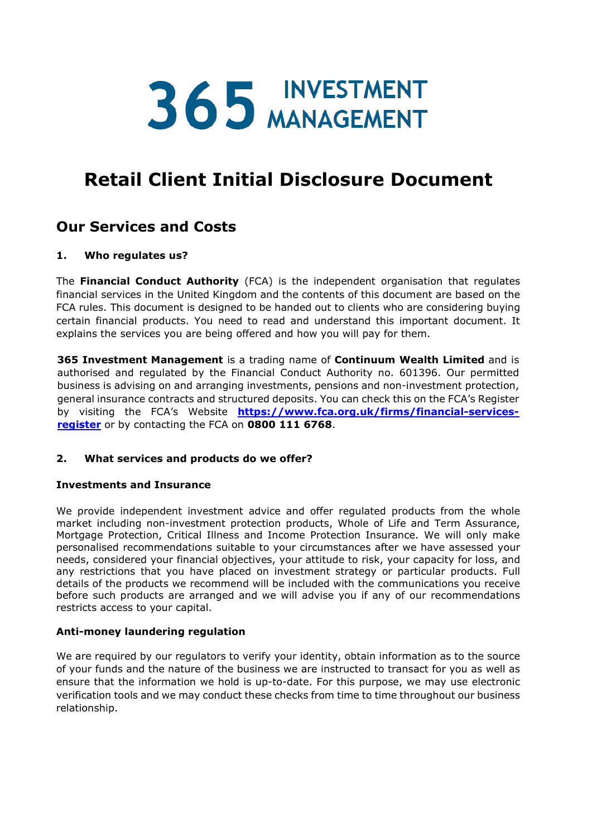# 365 INVESTMENT

## **Retail Client Initial Disclosure Document**

### **Our Services and Costs**

#### **1. Who regulates us?**

The **Financial Conduct Authority** (FCA) is the independent organisation that regulates financial services in the United Kingdom and the contents of this document are based on the FCA rules. This document is designed to be handed out to clients who are considering buying certain financial products. You need to read and understand this important document. It explains the services you are being offered and how you will pay for them.

**365 Investment Management** is a trading name of **Continuum Wealth Limited** and is authorised and regulated by the Financial Conduct Authority no. 601396. Our permitted business is advising on and arranging investments, pensions and non-investment protection, general insurance contracts and structured deposits. You can check this on the FCA's Register by visiting the FCA's Website **[https://www.fca.org.uk/firms/financial-services](https://www.fca.org.uk/firms/financial-services-register)[register](https://www.fca.org.uk/firms/financial-services-register)** or by contacting the FCA on **0800 111 6768**.

#### **2. What services and products do we offer?**

#### **Investments and Insurance**

We provide independent investment advice and offer regulated products from the whole market including non-investment protection products, Whole of Life and Term Assurance, Mortgage Protection, Critical Illness and Income Protection Insurance. We will only make personalised recommendations suitable to your circumstances after we have assessed your needs, considered your financial objectives, your attitude to risk, your capacity for loss, and any restrictions that you have placed on investment strategy or particular products. Full details of the products we recommend will be included with the communications you receive before such products are arranged and we will advise you if any of our recommendations restricts access to your capital.

#### **Anti-money laundering regulation**

We are required by our regulators to verify your identity, obtain information as to the source of your funds and the nature of the business we are instructed to transact for you as well as ensure that the information we hold is up-to-date. For this purpose, we may use electronic verification tools and we may conduct these checks from time to time throughout our business relationship.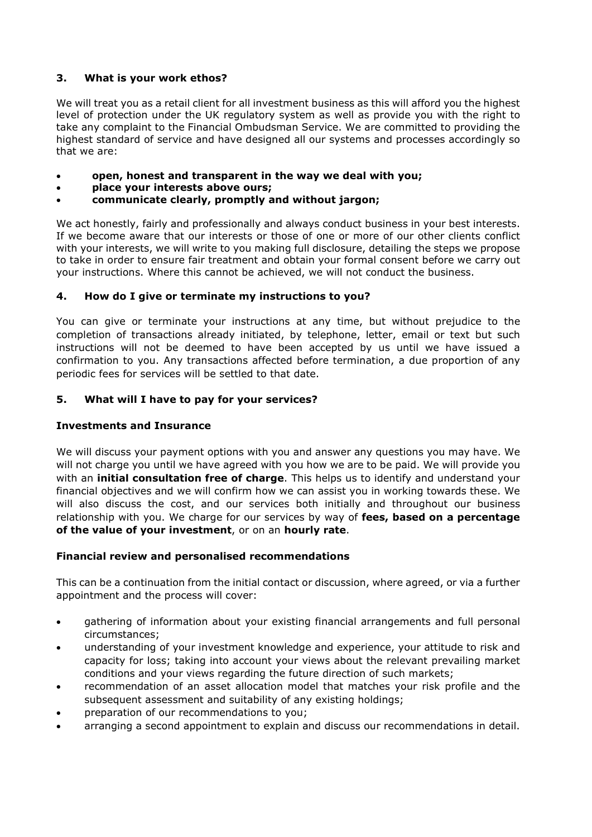#### **3. What is your work ethos?**

We will treat you as a retail client for all investment business as this will afford you the highest level of protection under the UK regulatory system as well as provide you with the right to take any complaint to the Financial Ombudsman Service. We are committed to providing the highest standard of service and have designed all our systems and processes accordingly so that we are:

- **open, honest and transparent in the way we deal with you;**
- **place your interests above ours;**
- **communicate clearly, promptly and without jargon;**

We act honestly, fairly and professionally and always conduct business in your best interests. If we become aware that our interests or those of one or more of our other clients conflict with your interests, we will write to you making full disclosure, detailing the steps we propose to take in order to ensure fair treatment and obtain your formal consent before we carry out your instructions. Where this cannot be achieved, we will not conduct the business.

#### **4. How do I give or terminate my instructions to you?**

You can give or terminate your instructions at any time, but without prejudice to the completion of transactions already initiated, by telephone, letter, email or text but such instructions will not be deemed to have been accepted by us until we have issued a confirmation to you. Any transactions affected before termination, a due proportion of any periodic fees for services will be settled to that date.

#### **5. What will I have to pay for your services?**

#### **Investments and Insurance**

We will discuss your payment options with you and answer any questions you may have. We will not charge you until we have agreed with you how we are to be paid. We will provide you with an **initial consultation free of charge**. This helps us to identify and understand your financial objectives and we will confirm how we can assist you in working towards these. We will also discuss the cost, and our services both initially and throughout our business relationship with you. We charge for our services by way of **fees, based on a percentage of the value of your investment**, or on an **hourly rate**.

#### **Financial review and personalised recommendations**

This can be a continuation from the initial contact or discussion, where agreed, or via a further appointment and the process will cover:

- gathering of information about your existing financial arrangements and full personal circumstances;
- understanding of your investment knowledge and experience, your attitude to risk and capacity for loss; taking into account your views about the relevant prevailing market conditions and your views regarding the future direction of such markets;
- recommendation of an asset allocation model that matches your risk profile and the subsequent assessment and suitability of any existing holdings;
- preparation of our recommendations to you;
- arranging a second appointment to explain and discuss our recommendations in detail.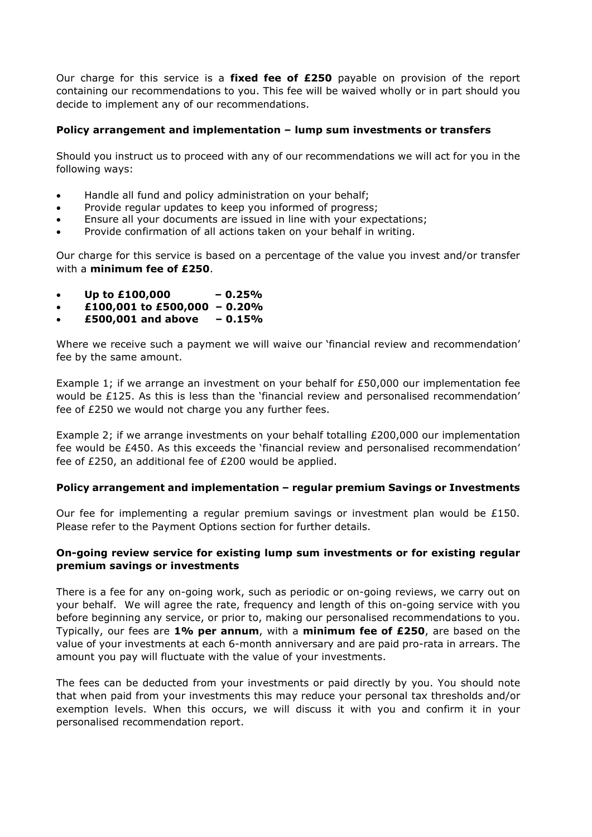Our charge for this service is a **fixed fee of £250** payable on provision of the report containing our recommendations to you. This fee will be waived wholly or in part should you decide to implement any of our recommendations.

#### **Policy arrangement and implementation – lump sum investments or transfers**

Should you instruct us to proceed with any of our recommendations we will act for you in the following ways:

- Handle all fund and policy administration on your behalf;
- Provide regular updates to keep you informed of progress;
- Ensure all your documents are issued in line with your expectations;
- Provide confirmation of all actions taken on your behalf in writing.

Our charge for this service is based on a percentage of the value you invest and/or transfer with a **minimum fee of £250**.

- **Up to £100,000 – 0.25%**
- **£100,001 to £500,000 – 0.20%**
- **£500,001 and above – 0.15%**

Where we receive such a payment we will waive our 'financial review and recommendation' fee by the same amount.

Example 1; if we arrange an investment on your behalf for £50,000 our implementation fee would be £125. As this is less than the 'financial review and personalised recommendation' fee of £250 we would not charge you any further fees.

Example 2; if we arrange investments on your behalf totalling £200,000 our implementation fee would be £450. As this exceeds the 'financial review and personalised recommendation' fee of £250, an additional fee of £200 would be applied.

#### **Policy arrangement and implementation – regular premium Savings or Investments**

Our fee for implementing a regular premium savings or investment plan would be £150. Please refer to the Payment Options section for further details.

#### **On-going review service for existing lump sum investments or for existing regular premium savings or investments**

There is a fee for any on-going work, such as periodic or on-going reviews, we carry out on your behalf. We will agree the rate, frequency and length of this on-going service with you before beginning any service, or prior to, making our personalised recommendations to you. Typically, our fees are **1% per annum**, with a **minimum fee of £250**, are based on the value of your investments at each 6-month anniversary and are paid pro-rata in arrears. The amount you pay will fluctuate with the value of your investments.

The fees can be deducted from your investments or paid directly by you. You should note that when paid from your investments this may reduce your personal tax thresholds and/or exemption levels. When this occurs, we will discuss it with you and confirm it in your personalised recommendation report.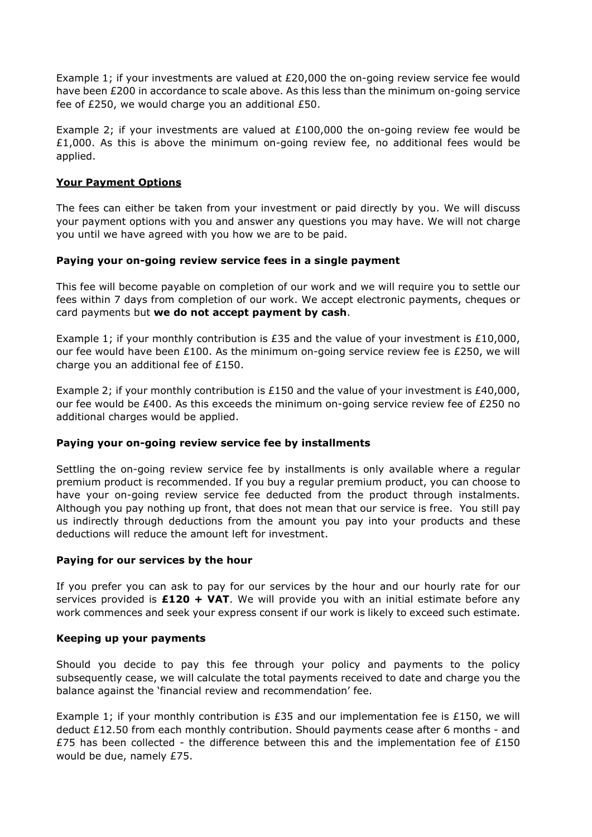Example 1; if your investments are valued at £20,000 the on-going review service fee would have been £200 in accordance to scale above. As this less than the minimum on-going service fee of £250, we would charge you an additional £50.

Example 2; if your investments are valued at  $£100,000$  the on-going review fee would be  $£1,000.$  As this is above the minimum on-going review fee, no additional fees would be applied.

#### **Your Payment Options**

The fees can either be taken from your investment or paid directly by you. We will discuss your payment options with you and answer any questions you may have. We will not charge you until we have agreed with you how we are to be paid.

#### **Paying your on-going review service fees in a single payment**

This fee will become payable on completion of our work and we will require you to settle our fees within 7 days from completion of our work. We accept electronic payments, cheques or card payments but **we do not accept payment by cash**.

Example 1; if your monthly contribution is £35 and the value of your investment is £10,000, our fee would have been £100. As the minimum on-going service review fee is £250, we will charge you an additional fee of £150.

Example 2; if your monthly contribution is £150 and the value of your investment is £40,000, our fee would be £400. As this exceeds the minimum on-going service review fee of £250 no additional charges would be applied.

#### **Paying your on-going review service fee by installments**

Settling the on-going review service fee by installments is only available where a regular premium product is recommended. If you buy a regular premium product, you can choose to have your on-going review service fee deducted from the product through instalments. Although you pay nothing up front, that does not mean that our service is free. You still pay us indirectly through deductions from the amount you pay into your products and these deductions will reduce the amount left for investment.

#### **Paying for our services by the hour**

If you prefer you can ask to pay for our services by the hour and our hourly rate for our services provided is **£120 + VAT**. We will provide you with an initial estimate before any work commences and seek your express consent if our work is likely to exceed such estimate.

#### **Keeping up your payments**

Should you decide to pay this fee through your policy and payments to the policy subsequently cease, we will calculate the total payments received to date and charge you the balance against the 'financial review and recommendation' fee.

Example 1; if your monthly contribution is £35 and our implementation fee is £150, we will deduct £12.50 from each monthly contribution. Should payments cease after 6 months - and £75 has been collected - the difference between this and the implementation fee of £150 would be due, namely £75.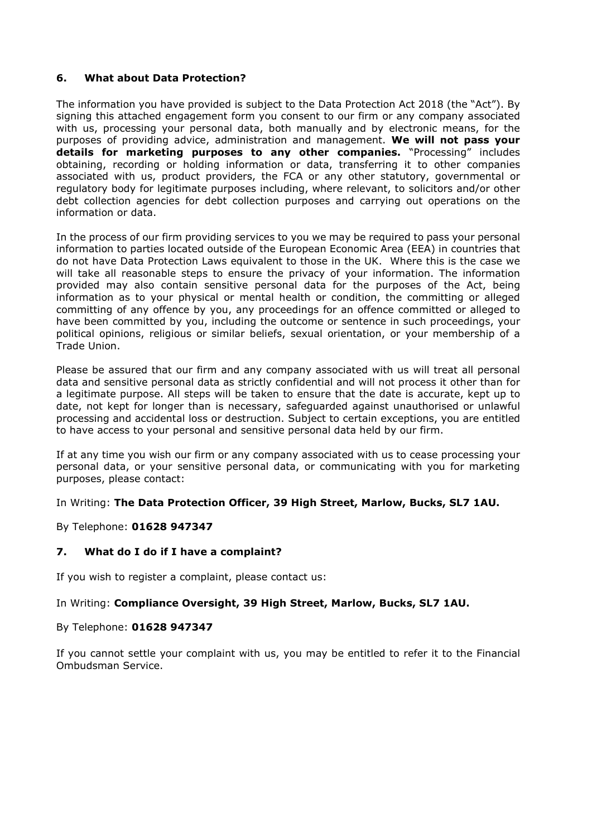#### **6. What about Data Protection?**

The information you have provided is subject to the Data Protection Act 2018 (the "Act"). By signing this attached engagement form you consent to our firm or any company associated with us, processing your personal data, both manually and by electronic means, for the purposes of providing advice, administration and management. **We will not pass your details for marketing purposes to any other companies.** "Processing" includes obtaining, recording or holding information or data, transferring it to other companies associated with us, product providers, the FCA or any other statutory, governmental or regulatory body for legitimate purposes including, where relevant, to solicitors and/or other debt collection agencies for debt collection purposes and carrying out operations on the information or data.

In the process of our firm providing services to you we may be required to pass your personal information to parties located outside of the European Economic Area (EEA) in countries that do not have Data Protection Laws equivalent to those in the UK. Where this is the case we will take all reasonable steps to ensure the privacy of your information. The information provided may also contain sensitive personal data for the purposes of the Act, being information as to your physical or mental health or condition, the committing or alleged committing of any offence by you, any proceedings for an offence committed or alleged to have been committed by you, including the outcome or sentence in such proceedings, your political opinions, religious or similar beliefs, sexual orientation, or your membership of a Trade Union.

Please be assured that our firm and any company associated with us will treat all personal data and sensitive personal data as strictly confidential and will not process it other than for a legitimate purpose. All steps will be taken to ensure that the date is accurate, kept up to date, not kept for longer than is necessary, safeguarded against unauthorised or unlawful processing and accidental loss or destruction. Subject to certain exceptions, you are entitled to have access to your personal and sensitive personal data held by our firm.

If at any time you wish our firm or any company associated with us to cease processing your personal data, or your sensitive personal data, or communicating with you for marketing purposes, please contact:

In Writing: **The Data Protection Officer, 39 High Street, Marlow, Bucks, SL7 1AU.**

By Telephone: **01628 947347**

#### **7. What do I do if I have a complaint?**

If you wish to register a complaint, please contact us:

In Writing: **Compliance Oversight, 39 High Street, Marlow, Bucks, SL7 1AU.**

By Telephone: **01628 947347**

If you cannot settle your complaint with us, you may be entitled to refer it to the Financial Ombudsman Service.